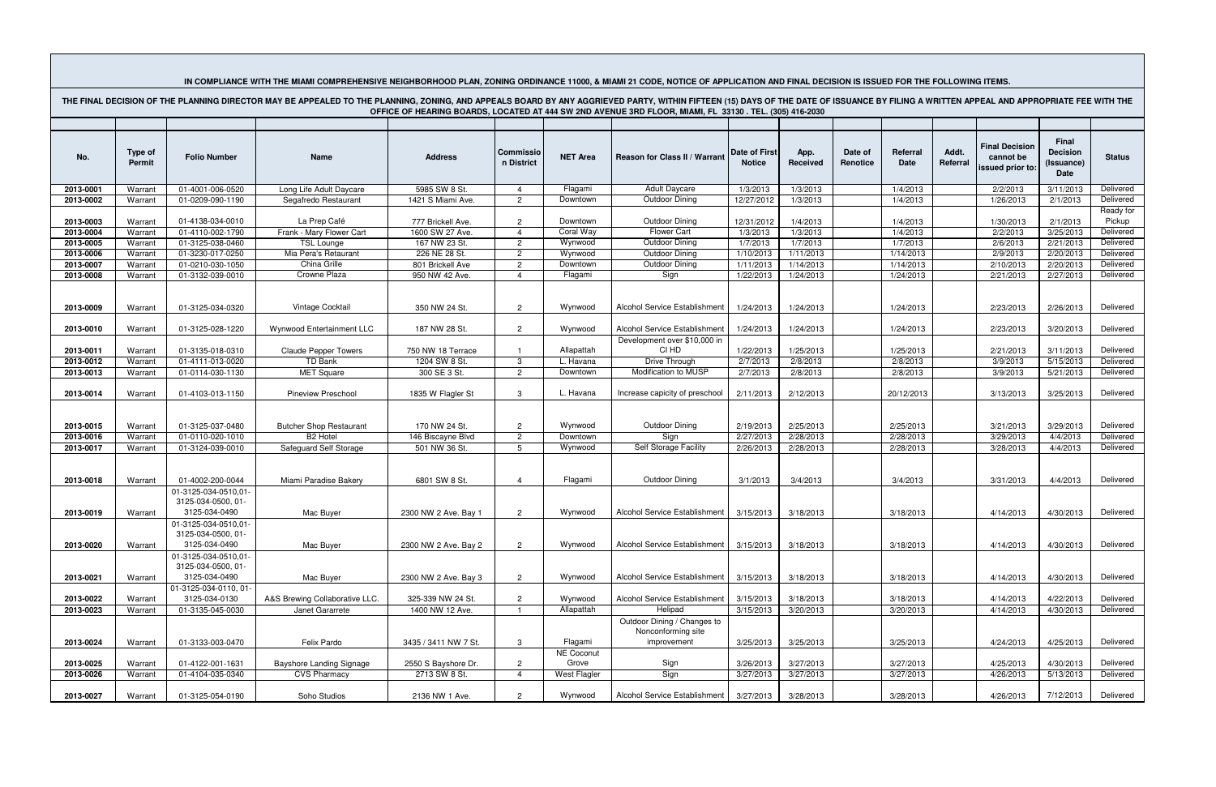| IN COMPLIANCE WITH THE MIAMI COMPREHENSIVE NEIGHBORHOOD PLAN, ZONING ORDINANCE 11000, & MIAMI 21 CODE, NOTICE OF APPLICATION AND FINAL DECISION IS ISSUED FOR THE FOLLOWING ITEMS.                                                                                                                                                        |                                 |                                                             |                                                   |                                      |                                  |                       |                                                                  |                                       |                        |                     |                        |                   |                                                        |                                                |                                  |
|-------------------------------------------------------------------------------------------------------------------------------------------------------------------------------------------------------------------------------------------------------------------------------------------------------------------------------------------|---------------------------------|-------------------------------------------------------------|---------------------------------------------------|--------------------------------------|----------------------------------|-----------------------|------------------------------------------------------------------|---------------------------------------|------------------------|---------------------|------------------------|-------------------|--------------------------------------------------------|------------------------------------------------|----------------------------------|
| THE FINAL DECISION OF THE PLANNING DIRECTOR MAY BE APPEALED TO THE PLANNING, ZONING, AND APPEALS BOARD BY ANY AGGRIEVED PARTY, WITHIN FIFTEEN (15) DAYS OF THE DATE OF ISSUANCE BY FILING A WRITTEN APPEAL AND APPROPRIATE FEE<br>OFFICE OF HEARING BOARDS, LOCATED AT 444 SW 2ND AVENUE 3RD FLOOR, MIAMI, FL 33130 . TEL. (305) 416-2030 |                                 |                                                             |                                                   |                                      |                                  |                       |                                                                  |                                       |                        |                     |                        |                   |                                                        |                                                |                                  |
|                                                                                                                                                                                                                                                                                                                                           |                                 |                                                             |                                                   |                                      |                                  |                       |                                                                  |                                       |                        |                     |                        |                   |                                                        |                                                |                                  |
| No.                                                                                                                                                                                                                                                                                                                                       | <b>Type of</b><br><b>Permit</b> | <b>Folio Number</b>                                         | Name                                              | <b>Address</b>                       | Commissio<br>n District          | <b>NET Area</b>       | Reason for Class II / Warrant                                    | <b>Date of First</b><br><b>Notice</b> | App.<br>Received       | Date of<br>Renotice | Referral<br>Date       | Addt.<br>Referral | <b>Final Decision</b><br>cannot be<br>issued prior to: | Final<br><b>Decision</b><br>(Issuance)<br>Date | <b>Status</b>                    |
| 2013-0001                                                                                                                                                                                                                                                                                                                                 | Warrant                         | 01-4001-006-0520                                            | Long Life Adult Daycare                           | 5985 SW 8 St.                        | 4                                | Flagami               | <b>Adult Daycare</b>                                             | 1/3/2013                              | 1/3/2013               |                     | 1/4/2013               |                   | 2/2/2013                                               | 3/11/2013                                      | Delivered                        |
| 2013-0002                                                                                                                                                                                                                                                                                                                                 | Warrant                         | 01-0209-090-1190                                            | Segafredo Restaurant                              | 1421 S Miami Ave.                    | 2                                | Downtown              | Outdoor Dining                                                   | 12/27/2012                            | 1/3/2013               |                     | 1/4/2013               |                   | 1/26/2013                                              | 2/1/2013                                       | Delivered                        |
| 2013-0003<br>2013-0004                                                                                                                                                                                                                                                                                                                    | Warrant<br>Warrant              | 01-4138-034-0010<br>01-4110-002-1790                        | La Prep Café<br>Frank - Mary Flower Cart          | 777 Brickell Ave.<br>1600 SW 27 Ave. | $\overline{2}$<br>$\overline{4}$ | Downtown<br>Coral Way | <b>Outdoor Dining</b><br><b>Flower Cart</b>                      | 12/31/2012<br>1/3/2013                | 1/4/2013<br>1/3/2013   |                     | 1/4/2013<br>1/4/2013   |                   | 1/30/2013<br>2/2/2013                                  | 2/1/2013<br>3/25/2013                          | Ready for<br>Pickup<br>Delivered |
| 2013-0005                                                                                                                                                                                                                                                                                                                                 | Warrant                         | 01-3125-038-0460                                            | <b>TSL Lounge</b>                                 | 167 NW 23 St.                        | $\overline{2}$                   | Wynwood               | <b>Outdoor Dining</b>                                            | 1/7/2013                              | 1/7/2013               |                     | 1/7/2013               |                   | 2/6/2013                                               | 2/21/2013                                      | Delivered                        |
| 2013-0006                                                                                                                                                                                                                                                                                                                                 | Warrant                         | 01-3230-017-0250                                            | Mia Pera's Retaurant                              | 226 NE 28 St.                        | $\overline{2}$                   | Wynwood               | Outdoor Dining                                                   | 1/10/2013                             | 1/11/2013              |                     | 1/14/2013              |                   | 2/9/2013                                               | 2/20/2013                                      | Delivered                        |
| 2013-0007                                                                                                                                                                                                                                                                                                                                 | Warrant                         | 01-0210-030-1050                                            | China Grille                                      | 801 Brickell Ave                     | $\overline{2}$                   | Downtown              | Outdoor Dining                                                   | 1/11/2013                             | 1/14/2013              |                     | 1/14/2013              |                   | 2/10/2013                                              | 2/20/2013                                      | Delivered                        |
| 2013-0008                                                                                                                                                                                                                                                                                                                                 | Warrant                         | 01-3132-039-0010                                            | Crowne Plaza                                      | 950 NW 42 Ave.                       | $\overline{4}$                   | Flagami               | Sign                                                             | 1/22/2013                             | 1/24/2013              |                     | 1/24/2013              |                   | 2/21/2013                                              | 2/27/2013                                      | Delivered                        |
| 2013-0009                                                                                                                                                                                                                                                                                                                                 | Warrant                         | 01-3125-034-0320                                            | Vintage Cocktail                                  | 350 NW 24 St.                        | $\mathcal{P}$                    | Wynwood               | Alcohol Service Establishment                                    | 1/24/2013                             | 1/24/2013              |                     | 1/24/2013              |                   | 2/23/2013                                              | 2/26/2013                                      | Delivered                        |
| 2013-0010                                                                                                                                                                                                                                                                                                                                 | Warrant                         | 01-3125-028-1220                                            | Wynwood Entertainment LLC                         | 187 NW 28 St.                        | $\overline{2}$                   | Wynwood               | Alcohol Service Establishment<br>Development over \$10,000 in    | 1/24/2013                             | 1/24/2013              |                     | 1/24/2013              |                   | 2/23/2013                                              | 3/20/2013                                      | Delivered                        |
| 2013-0011                                                                                                                                                                                                                                                                                                                                 | Warrant                         | 01-3135-018-0310                                            | <b>Claude Pepper Towers</b>                       | 750 NW 18 Terrace                    |                                  | Allapattah            | CI HD                                                            | 1/22/2013                             | 1/25/2013              |                     | 1/25/2013              |                   | 2/21/2013                                              | 3/11/2013                                      | Delivered                        |
| 2013-0012                                                                                                                                                                                                                                                                                                                                 | Warrant                         | 01-4111-013-0020                                            | <b>TD Bank</b>                                    | 1204 SW 8 St.                        | 3                                | L. Havana             | Drive Through                                                    | 2/7/2013                              | 2/8/2013               |                     | 2/8/2013               |                   | 3/9/2013                                               | 5/15/2013                                      | Delivered                        |
| 2013-0013                                                                                                                                                                                                                                                                                                                                 | Warrant                         | 01-0114-030-1130                                            | <b>MET Square</b>                                 | 300 SE 3 St.                         | $\overline{2}$                   | Downtown              | <b>Modification to MUSP</b>                                      | 2/7/2013                              | 2/8/2013               |                     | 2/8/2013               |                   | 3/9/2013                                               | 5/21/2013                                      | Delivered                        |
|                                                                                                                                                                                                                                                                                                                                           |                                 |                                                             |                                                   |                                      |                                  |                       |                                                                  |                                       |                        |                     |                        |                   |                                                        |                                                |                                  |
| 2013-0014                                                                                                                                                                                                                                                                                                                                 | Warrant                         | 01-4103-013-1150                                            | <b>Pineview Preschool</b>                         | 1835 W Flagler St                    | 3                                | L. Havana             | Increase capicity of preschool                                   | 2/11/2013                             | 2/12/2013              |                     | 20/12/2013             |                   | 3/13/2013                                              | 3/25/2013                                      | Delivered                        |
| 2013-0015<br>2013-0016                                                                                                                                                                                                                                                                                                                    | Warrant<br>Warrant              | 01-3125-037-0480<br>01-0110-020-1010                        | <b>Butcher Shop Restaurant</b><br><b>B2 Hotel</b> | 170 NW 24 St.<br>146 Biscayne Blvd   | $\overline{2}$<br>$\overline{2}$ | Wynwood<br>Downtown   | Outdoor Dining<br>Sign                                           | 2/19/2013<br>2/27/2013                | 2/25/2013<br>2/28/2013 |                     | 2/25/2013<br>2/28/2013 |                   | 3/21/2013<br>3/29/2013                                 | 3/29/2013<br>4/4/2013                          | Delivered<br>Delivered           |
| 2013-0017                                                                                                                                                                                                                                                                                                                                 | Warrant                         | 01-3124-039-0010                                            | Safeguard Self Storage                            | 501 NW 36 St.                        | 5                                | Wynwood               | <b>Self Storage Facility</b>                                     | 2/26/2013                             | 2/28/2013              |                     | 2/28/2013              |                   | 3/28/2013                                              | 4/4/2013                                       | Delivered                        |
| 2013-0018                                                                                                                                                                                                                                                                                                                                 | Warrant                         | 01-4002-200-0044<br>01-3125-034-0510,01-                    | Miami Paradise Bakery                             | 6801 SW 8 St.                        | $\overline{4}$                   | Flagami               | Outdoor Dining                                                   | 3/1/2013                              | 3/4/2013               |                     | 3/4/2013               |                   | 3/31/2013                                              | 4/4/2013                                       | Delivered                        |
|                                                                                                                                                                                                                                                                                                                                           |                                 | 3125-034-0500, 01-                                          |                                                   |                                      |                                  |                       |                                                                  |                                       |                        |                     |                        |                   |                                                        |                                                |                                  |
| 2013-0019                                                                                                                                                                                                                                                                                                                                 | Warrant                         | 3125-034-0490                                               | Mac Buyer                                         | 2300 NW 2 Ave. Bay 1                 | $\overline{2}$                   | Wynwood               | Alcohol Service Establishment 3/15/2013                          |                                       | 3/18/2013              |                     | 3/18/2013              |                   | 4/14/2013                                              | 4/30/2013                                      | Delivered                        |
| 2013-0020                                                                                                                                                                                                                                                                                                                                 | Warrant                         | 01-3125-034-0510,01-<br>3125-034-0500, 01-<br>3125-034-0490 | Mac Buyer                                         | 2300 NW 2 Ave. Bay 2                 | $\overline{2}$                   | Wynwood               | Alcohol Service Establishment                                    | 3/15/2013                             | 3/18/2013              |                     | 3/18/2013              |                   | 4/14/2013                                              | 4/30/2013                                      | Delivered                        |
| 2013-0021                                                                                                                                                                                                                                                                                                                                 | Warrant                         | 01-3125-034-0510,01-<br>3125-034-0500, 01-<br>3125-034-0490 | Mac Buyer                                         | 2300 NW 2 Ave. Bay 3                 | $\overline{2}$                   | Wynwood               | Alcohol Service Establishment                                    | 3/15/2013                             | 3/18/2013              |                     | 3/18/2013              |                   | 4/14/2013                                              | 4/30/2013                                      | Delivered                        |
| 2013-0022                                                                                                                                                                                                                                                                                                                                 | Warrant                         | 01-3125-034-0110.01-<br>3125-034-0130                       | A&S Brewing Collaborative LLC.                    | 325-339 NW 24 St.                    | $\overline{2}$                   | Wynwood               | Alcohol Service Establishment                                    | 3/15/2013                             | 3/18/2013              |                     | 3/18/2013              |                   | 4/14/2013                                              | 4/22/2013                                      | Delivered                        |
| 2013-0023                                                                                                                                                                                                                                                                                                                                 | Warrant                         | 01-3135-045-0030                                            | Janet Gararrete                                   | 1400 NW 12 Ave.                      |                                  | Allapattah            | Helipad                                                          | 3/15/2013                             | 3/20/2013              |                     | 3/20/2013              |                   | 4/14/2013                                              | 4/30/2013                                      | Delivered                        |
| 2013-0024                                                                                                                                                                                                                                                                                                                                 | Warrant                         | 01-3133-003-0470                                            | Felix Pardo                                       | 3435 / 3411 NW 7 St.                 | 3                                | Flagami               | Outdoor Dining / Changes to<br>Nonconforming site<br>improvement | 3/25/2013                             | 3/25/2013              |                     | 3/25/2013              |                   | 4/24/2013                                              | 4/25/2013                                      | Delivered                        |
|                                                                                                                                                                                                                                                                                                                                           |                                 |                                                             |                                                   |                                      |                                  | <b>NE Coconut</b>     |                                                                  |                                       |                        |                     |                        |                   |                                                        |                                                |                                  |
| 2013-0025                                                                                                                                                                                                                                                                                                                                 | Warrant                         | 01-4122-001-1631                                            | <b>Bayshore Landing Signage</b>                   | 2550 S Bayshore Dr.                  | $\overline{2}$                   | Grove                 | Sign                                                             | 3/26/2013                             | 3/27/2013              |                     | 3/27/2013              |                   | 4/25/2013                                              | 4/30/2013                                      | Delivered                        |
| 2013-0026                                                                                                                                                                                                                                                                                                                                 | Warrant                         | 01-4104-035-0340                                            | <b>CVS Pharmacy</b>                               | 2713 SW 8 St.                        | $\overline{4}$                   | West Flagler          | Sign                                                             | 3/27/2013                             | 3/27/2013              |                     | 3/27/2013              |                   | 4/26/2013                                              | 5/13/2013                                      | Delivered                        |
| 2013-0027                                                                                                                                                                                                                                                                                                                                 | Warrant                         | 01-3125-054-0190                                            | Soho Studios                                      | 2136 NW 1 Ave.                       | $\overline{2}$                   | Wynwood               | Alcohol Service Establishment                                    | 3/27/2013                             | 3/28/2013              |                     | 3/28/2013              |                   | 4/26/2013                                              | 7/12/2013                                      | Delivered                        |
|                                                                                                                                                                                                                                                                                                                                           |                                 |                                                             |                                                   |                                      |                                  |                       |                                                                  |                                       |                        |                     |                        |                   |                                                        |                                                |                                  |

the contract of the contract of the contract of the contract of the contract of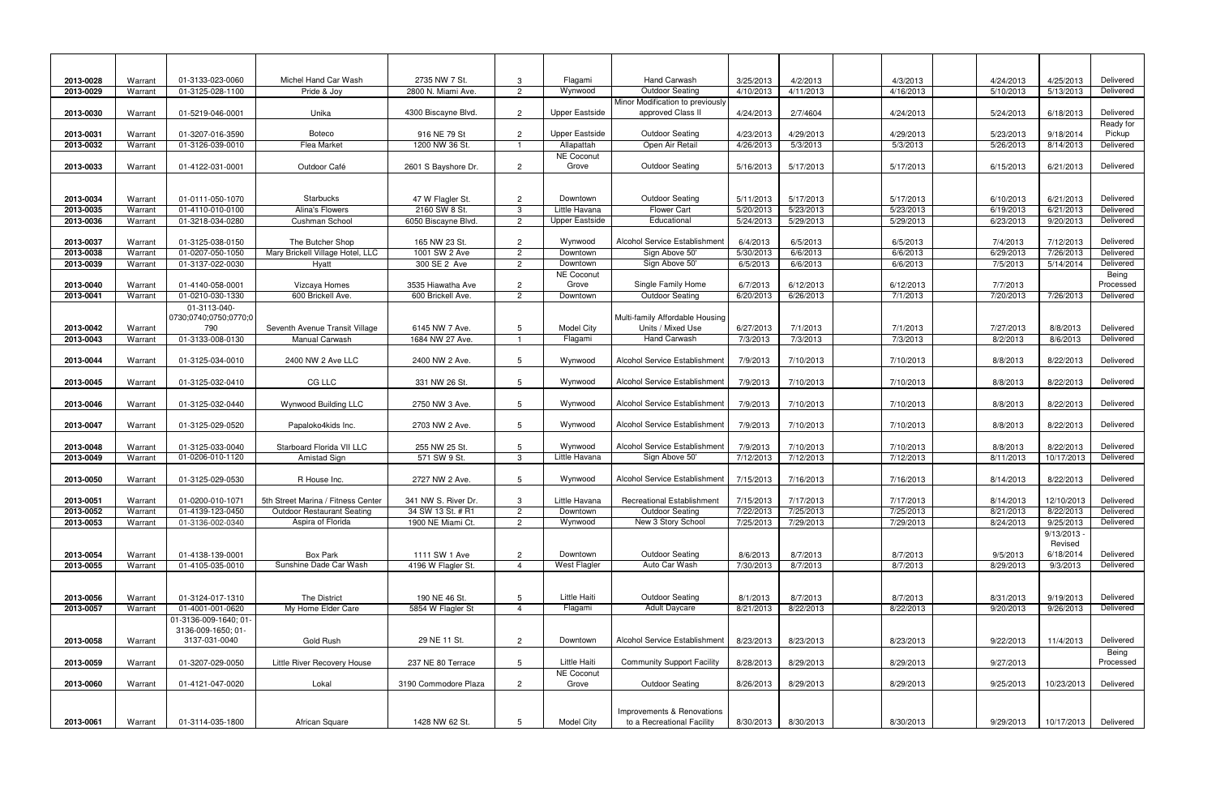| 2013-0028              | Warrant            | 01-3133-023-0060                            | Michel Hand Car Wash                             | 2735 NW 7 St.                     | 3               | Flagami                  | <b>Hand Carwash</b>                                  | 3/25/2013             | 4/2/2013               | 4/3/2013               | 4/24/2013             | 4/25/2013                | Delivered            |
|------------------------|--------------------|---------------------------------------------|--------------------------------------------------|-----------------------------------|-----------------|--------------------------|------------------------------------------------------|-----------------------|------------------------|------------------------|-----------------------|--------------------------|----------------------|
| 2013-0029              | Warrant            | 01-3125-028-1100                            | Pride & Joy                                      | 2800 N. Miami Ave.                | $\overline{2}$  | Wynwood                  | <b>Outdoor Seating</b>                               | 4/10/2013             | 4/11/2013              | 4/16/2013              | 5/10/2013             | 5/13/2013                | Delivered            |
|                        |                    |                                             |                                                  |                                   |                 |                          | Minor Modification to previously                     |                       |                        |                        |                       |                          |                      |
| 2013-0030              | Warrant            | 01-5219-046-0001                            | Unika                                            | 4300 Biscayne Blvd.               | $\overline{2}$  | <b>Upper Eastside</b>    | approved Class II                                    | 4/24/2013             | 2/7/4604               | 4/24/2013              | 5/24/2013             | 6/18/2013                | Delivered            |
|                        |                    |                                             |                                                  |                                   |                 |                          |                                                      |                       |                        |                        |                       |                          | Ready for            |
| 2013-0031              | Warrant            | 01-3207-016-3590                            | <b>Boteco</b>                                    | 916 NE 79 St                      | $\overline{2}$  | <b>Upper Eastside</b>    | <b>Outdoor Seating</b>                               | 4/23/2013             | 4/29/2013              | 4/29/2013              | 5/23/2013             | 9/18/2014                | Pickup               |
| 2013-0032              | Warrant            | 01-3126-039-0010                            | Flea Market                                      | 1200 NW 36 St.                    |                 | Allapattah               | Open Air Retail                                      | 4/26/2013             | 5/3/2013               | 5/3/2013               | 5/26/2013             | 8/14/2013                | Delivered            |
| 2013-0033              | Warrant            | 01-4122-031-0001                            | Outdoor Café                                     | 2601 S Bayshore Dr.               | $\overline{2}$  | NE Coconut<br>Grove      | <b>Outdoor Seating</b>                               | 5/16/2013             | 5/17/2013              | 5/17/2013              | 6/15/2013             | 6/21/2013                | Delivered            |
|                        |                    |                                             |                                                  |                                   |                 |                          |                                                      |                       |                        |                        |                       |                          |                      |
|                        |                    |                                             |                                                  |                                   |                 |                          |                                                      |                       |                        |                        |                       |                          |                      |
| 2013-0034              | Warrant            | 01-0111-050-1070                            | Starbucks                                        | 47 W Flagler St.                  | $\overline{2}$  | Downtown                 | <b>Outdoor Seating</b>                               | 5/11/2013             | 5/17/2013              | 5/17/2013              | 6/10/2013             | 6/21/2013                | Delivered            |
| 2013-0035              | Warrant            | 01-4110-010-0100                            | Alina's Flowers                                  | 2160 SW 8 St.                     | 3               | Little Havana            | <b>Flower Cart</b>                                   | 5/20/2013             | 5/23/2013              | 5/23/2013              | 6/19/2013             | 6/21/2013                | Delivered            |
| 2013-0036              | Warrant            | 01-3218-034-0280                            | Cushman School                                   | 6050 Biscayne Blvd.               | $\overline{2}$  | <b>Upper Eastside</b>    | Educational                                          | 5/24/2013             | 5/29/2013              | 5/29/2013              | 6/23/2013             | 9/20/2013                | Delivered            |
|                        |                    | 01-3125-038-0150                            | The Butcher Shop                                 | 165 NW 23 St.                     | $\overline{2}$  | Wynwood                  | Alcohol Service Establishmen                         | 6/4/2013              | 6/5/2013               |                        |                       | 7/12/2013                | Delivered            |
| 2013-0037<br>2013-0038 | Warrant<br>Warrant | 01-0207-050-1050                            | Mary Brickell Village Hotel, LLC                 | 1001 SW 2 Ave                     | $\overline{2}$  | Downtown                 | Sign Above 50'                                       | 5/30/2013             | 6/6/2013               | 6/5/2013<br>6/6/2013   | 7/4/2013<br>6/29/2013 | 7/26/2013                | Delivered            |
| 2013-0039              | Warrant            | 01-3137-022-0030                            | Hyatt                                            | 300 SE 2 Ave                      | $\overline{2}$  | Downtown                 | Sign Above 50'                                       | 6/5/2013              | 6/6/2013               | 6/6/2013               | 7/5/2013              | 5/14/2014                | Delivered            |
|                        |                    |                                             |                                                  |                                   |                 | NE Coconut               |                                                      |                       |                        |                        |                       |                          | Being                |
| 2013-0040              | Warrant            | 01-4140-058-0001                            | Vizcaya Homes                                    | 3535 Hiawatha Ave                 | $\overline{2}$  | Grove                    | Single Family Home                                   | 6/7/2013              | 6/12/2013              | 6/12/2013              | 7/7/2013              |                          | Processed            |
| 2013-0041              | Warrant            | 01-0210-030-1330                            | 600 Brickell Ave.                                | 600 Brickell Ave.                 | $\overline{2}$  | Downtown                 | <b>Outdoor Seating</b>                               | 6/20/2013             | 6/26/2013              | 7/1/2013               | 7/20/2013             | 7/26/2013                | Delivered            |
|                        |                    | 01-3113-040-                                |                                                  |                                   |                 |                          |                                                      |                       |                        |                        |                       |                          |                      |
|                        |                    | 0730;0740;0750;0770;0<br>790                |                                                  |                                   | 5               | <b>Model City</b>        | Multi-family Affordable Housing<br>Units / Mixed Use |                       |                        |                        |                       |                          | Delivered            |
| 2013-0042<br>2013-0043 | Warrant<br>Warrant | 01-3133-008-0130                            | Seventh Avenue Transit Village<br>Manual Carwash | 6145 NW 7 Ave.<br>1684 NW 27 Ave. |                 | Flagami                  | <b>Hand Carwash</b>                                  | 6/27/2013<br>7/3/2013 | 7/1/2013<br>7/3/2013   | 7/1/2013<br>7/3/2013   | 7/27/2013<br>8/2/2013 | 8/8/2013<br>8/6/2013     | Delivered            |
|                        |                    |                                             |                                                  |                                   |                 |                          |                                                      |                       |                        |                        |                       |                          |                      |
| 2013-0044              | Warrant            | 01-3125-034-0010                            | 2400 NW 2 Ave LLC                                | 2400 NW 2 Ave.                    | $5^{\circ}$     | Wynwood                  | Alcohol Service Establishmen                         | 7/9/2013              | 7/10/2013              | 7/10/2013              | 8/8/2013              | 8/22/2013                | Delivered            |
|                        |                    |                                             |                                                  |                                   |                 |                          |                                                      |                       |                        |                        |                       |                          |                      |
| 2013-0045              | Warrant            | 01-3125-032-0410                            | CG LLC                                           | 331 NW 26 St.                     | 5               | Wynwood                  | Alcohol Service Establishment                        | 7/9/2013              | 7/10/2013              | 7/10/2013              | 8/8/2013              | 8/22/2013                | Delivered            |
| 2013-0046              | Warrant            | 01-3125-032-0440                            | Wynwood Building LLC                             | 2750 NW 3 Ave.                    | -5              | Wynwood                  | Alcohol Service Establishment                        | 7/9/2013              | 7/10/2013              | 7/10/2013              | 8/8/2013              | 8/22/2013                | Delivered            |
|                        |                    |                                             |                                                  |                                   |                 |                          |                                                      |                       |                        |                        |                       |                          |                      |
| 2013-0047              | Warrant            | 01-3125-029-0520                            | Papaloko4kids Inc.                               | 2703 NW 2 Ave.                    | -5              | Wynwood                  | Alcohol Service Establishment                        | 7/9/2013              | 7/10/2013              | 7/10/2013              | 8/8/2013              | 8/22/2013                | Delivered            |
|                        |                    |                                             |                                                  |                                   | -5              |                          |                                                      |                       |                        |                        |                       |                          | Delivered            |
| 2013-0048<br>2013-0049 | Warrant<br>Warrant | 01-3125-033-0040<br>01-0206-010-1120        | Starboard Florida VII LLC<br>Amistad Sign        | 255 NW 25 St.<br>571 SW 9 St.     | 3               | Wynwood<br>Little Havana | Alcohol Service Establishment<br>Sign Above 50'      | 7/9/2013<br>7/12/2013 | 7/10/2013<br>7/12/2013 | 7/10/2013<br>7/12/2013 | 8/8/2013<br>8/11/2013 | 8/22/2013<br>10/17/2013  | Delivered            |
|                        |                    |                                             |                                                  |                                   |                 |                          |                                                      |                       |                        |                        |                       |                          |                      |
| 2013-0050              | Warrant            | 01-3125-029-0530                            | R House Inc.                                     | 2727 NW 2 Ave.                    | -5              | Wynwood                  | Alcohol Service Establishment                        | 7/15/2013             | 7/16/2013              | 7/16/2013              | 8/14/2013             | 8/22/2013                | Delivered            |
|                        |                    |                                             |                                                  |                                   |                 |                          |                                                      |                       |                        |                        |                       |                          |                      |
| 2013-0051              | Warrant            | 01-0200-010-1071                            | 5th Street Marina / Fitness Center               | 341 NW S. River Dr.               | 3               | Little Havana            | <b>Recreational Establishment</b>                    | 7/15/2013 I           | 7/17/2013              | 7/17/2013              | 8/14/2013             | 12/10/2013               | Delivered            |
| 2013-0052              | Warrant            | 01-4139-123-0450                            | <b>Outdoor Restaurant Seating</b>                | 34 SW 13 St. # R1                 | $\overline{2}$  | Downtown                 | <b>Outdoor Seating</b>                               | 7/22/2013             | 7/25/2013              | $\frac{7}{25/2013}$    | 8/21/2013             | 8/22/2013                | Delivered            |
| 2013-0053              | Warrant            | 01-3136-002-0340                            | Aspira of Florida                                | 1900 NE Miami Ct.                 | $\overline{2}$  | Wynwood                  | New 3 Story School                                   | 7/25/2013             | 7/29/2013              | 7/29/2013              | 8/24/2013             | 9/25/2013                | Delivered            |
|                        |                    |                                             |                                                  |                                   |                 |                          |                                                      |                       |                        |                        |                       | $9/13/2013 -$<br>Revised |                      |
| 2013-0054              | Warrant            | 01-4138-139-0001                            | Box Park                                         | 1111 SW 1 Ave                     | $\overline{c}$  | Downtown                 | <b>Outdoor Seating</b>                               | 8/6/2013              | 8/7/2013               | 8/7/2013               | 9/5/2013              | 6/18/2014                | Delivered            |
| 2013-0055              | Warrant            | 01-4105-035-0010                            | Sunshine Dade Car Wash                           | 4196 W Flagler St.                | $\overline{4}$  | <b>West Flagler</b>      | Auto Car Wash                                        | 7/30/2013             | 8/7/2013               | 8/7/2013               | 8/29/2013             | 9/3/2013                 | Delivered            |
|                        |                    |                                             |                                                  |                                   |                 |                          |                                                      |                       |                        |                        |                       |                          |                      |
|                        |                    |                                             |                                                  |                                   |                 |                          |                                                      |                       |                        |                        |                       |                          |                      |
| 2013-0056              | Warrant            | 01-3124-017-1310                            | The District                                     | 190 NE 46 St.                     | $5\phantom{.0}$ | Little Haiti             | <b>Outdoor Seating</b>                               | 8/1/2013              | 8/7/2013               | 8/7/2013               | 8/31/2013             | 9/19/2013                | Delivered            |
| 2013-0057              | Warrant            | 01-4001-001-0620                            | My Home Elder Care                               | 5854 W Flagler St                 | $\overline{4}$  | Flagami                  | <b>Adult Daycare</b>                                 | 8/21/2013             | 8/22/2013              | 8/22/2013              | 9/20/2013             | 9/26/2013                | Delivered            |
|                        |                    | 01-3136-009-1640; 01-<br>3136-009-1650; 01- |                                                  |                                   |                 |                          |                                                      |                       |                        |                        |                       |                          |                      |
| 2013-0058              | Warrant            | 3137-031-0040                               | Gold Rush                                        | 29 NE 11 St.                      | $\overline{2}$  | Downtown                 | Alcohol Service Establishment                        | 8/23/2013             | 8/23/2013              | 8/23/2013              | 9/22/2013             | 11/4/2013                | Delivered            |
|                        |                    |                                             |                                                  |                                   |                 |                          |                                                      |                       |                        |                        |                       |                          | Being                |
| 2013-0059              | Warrant            | 01-3207-029-0050                            | Little River Recovery House                      | 237 NE 80 Terrace                 | $5\phantom{.0}$ | Little Haiti             | <b>Community Support Facility</b>                    | 8/28/2013             | 8/29/2013              | 8/29/2013              | 9/27/2013             |                          | Processed            |
|                        |                    |                                             |                                                  |                                   |                 | NE Coconut               |                                                      |                       |                        |                        |                       |                          |                      |
| 2013-0060              | Warrant            | 01-4121-047-0020                            | Lokal                                            | 3190 Commodore Plaza              | $\overline{2}$  | Grove                    | <b>Outdoor Seating</b>                               | 8/26/2013             | 8/29/2013              | 8/29/2013              | 9/25/2013             | 10/23/2013               | Delivered            |
|                        |                    |                                             |                                                  |                                   |                 |                          |                                                      |                       |                        |                        |                       |                          |                      |
|                        |                    |                                             |                                                  |                                   |                 |                          | Improvements & Renovations                           |                       |                        |                        |                       |                          |                      |
| 2013-0061              | Warrant            | 01-3114-035-1800                            | African Square                                   | 1428 NW 62 St.                    | 5               | <b>Model City</b>        | to a Recreational Facility                           | 8/30/2013             | 8/30/2013              | 8/30/2013              | 9/29/2013             |                          | 10/17/2013 Delivered |